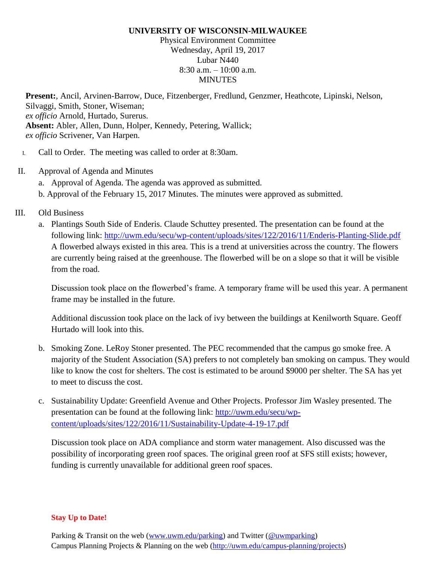### **UNIVERSITY OF WISCONSIN-MILWAUKEE**

Physical Environment Committee Wednesday, April 19, 2017 Lubar N440 8:30 a.m. – 10:00 a.m. **MINUTES** 

**Present:**, Ancil, Arvinen-Barrow, Duce, Fitzenberger, Fredlund, Genzmer, Heathcote, Lipinski, Nelson, Silvaggi, Smith, Stoner, Wiseman; *ex officio* Arnold, Hurtado, Surerus. **Absent:** Abler, Allen, Dunn, Holper, Kennedy, Petering, Wallick; *ex officio* Scrivener, Van Harpen.

- I. Call to Order. The meeting was called to order at 8:30am.
- II. Approval of Agenda and Minutes a. Approval of Agenda. The agenda was approved as submitted. b. Approval of the February 15, 2017 Minutes. The minutes were approved as submitted.
- III. Old Business
	- a. Plantings South Side of Enderis. Claude Schuttey presented. The presentation can be found at the following link: <http://uwm.edu/secu/wp-content/uploads/sites/122/2016/11/Enderis-Planting-Slide.pdf> A flowerbed always existed in this area. This is a trend at universities across the country. The flowers are currently being raised at the greenhouse. The flowerbed will be on a slope so that it will be visible from the road.

Discussion took place on the flowerbed's frame. A temporary frame will be used this year. A permanent frame may be installed in the future.

Additional discussion took place on the lack of ivy between the buildings at Kenilworth Square. Geoff Hurtado will look into this.

- b. Smoking Zone. LeRoy Stoner presented. The PEC recommended that the campus go smoke free. A majority of the Student Association (SA) prefers to not completely ban smoking on campus. They would like to know the cost for shelters. The cost is estimated to be around \$9000 per shelter. The SA has yet to meet to discuss the cost.
- c. Sustainability Update: Greenfield Avenue and Other Projects. Professor Jim Wasley presented. The presentation can be found at the following link: [http://uwm.edu/secu/wp](http://uwm.edu/secu/wp-content/uploads/sites/122/2016/11/Sustainability-Update-4-19-17.pdf)[content/uploads/sites/122/2016/11/Sustainability-Update-4-19-17.pdf](http://uwm.edu/secu/wp-content/uploads/sites/122/2016/11/Sustainability-Update-4-19-17.pdf)

Discussion took place on ADA compliance and storm water management. Also discussed was the possibility of incorporating green roof spaces. The original green roof at SFS still exists; however, funding is currently unavailable for additional green roof spaces.

### **Stay Up to Date!**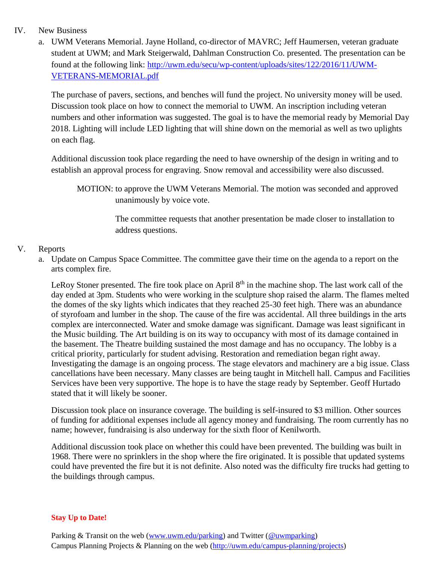## IV. New Business

a. UWM Veterans Memorial. Jayne Holland, co-director of MAVRC; Jeff Haumersen, veteran graduate student at UWM; and Mark Steigerwald, Dahlman Construction Co. presented. The presentation can be found at the following link: [http://uwm.edu/secu/wp-content/uploads/sites/122/2016/11/UWM-](http://uwm.edu/secu/wp-content/uploads/sites/122/2016/11/UWM-VETERANS-MEMORIAL.pdf)[VETERANS-MEMORIAL.pdf](http://uwm.edu/secu/wp-content/uploads/sites/122/2016/11/UWM-VETERANS-MEMORIAL.pdf)

The purchase of pavers, sections, and benches will fund the project. No university money will be used. Discussion took place on how to connect the memorial to UWM. An inscription including veteran numbers and other information was suggested. The goal is to have the memorial ready by Memorial Day 2018. Lighting will include LED lighting that will shine down on the memorial as well as two uplights on each flag.

Additional discussion took place regarding the need to have ownership of the design in writing and to establish an approval process for engraving. Snow removal and accessibility were also discussed.

MOTION: to approve the UWM Veterans Memorial. The motion was seconded and approved unanimously by voice vote.

> The committee requests that another presentation be made closer to installation to address questions.

# V. Reports

a. Update on Campus Space Committee. The committee gave their time on the agenda to a report on the arts complex fire.

LeRoy Stoner presented. The fire took place on April  $8<sup>th</sup>$  in the machine shop. The last work call of the day ended at 3pm. Students who were working in the sculpture shop raised the alarm. The flames melted the domes of the sky lights which indicates that they reached 25-30 feet high. There was an abundance of styrofoam and lumber in the shop. The cause of the fire was accidental. All three buildings in the arts complex are interconnected. Water and smoke damage was significant. Damage was least significant in the Music building. The Art building is on its way to occupancy with most of its damage contained in the basement. The Theatre building sustained the most damage and has no occupancy. The lobby is a critical priority, particularly for student advising. Restoration and remediation began right away. Investigating the damage is an ongoing process. The stage elevators and machinery are a big issue. Class cancellations have been necessary. Many classes are being taught in Mitchell hall. Campus and Facilities Services have been very supportive. The hope is to have the stage ready by September. Geoff Hurtado stated that it will likely be sooner.

Discussion took place on insurance coverage. The building is self-insured to \$3 million. Other sources of funding for additional expenses include all agency money and fundraising. The room currently has no name; however, fundraising is also underway for the sixth floor of Kenilworth.

Additional discussion took place on whether this could have been prevented. The building was built in 1968. There were no sprinklers in the shop where the fire originated. It is possible that updated systems could have prevented the fire but it is not definite. Also noted was the difficulty fire trucks had getting to the buildings through campus.

## **Stay Up to Date!**